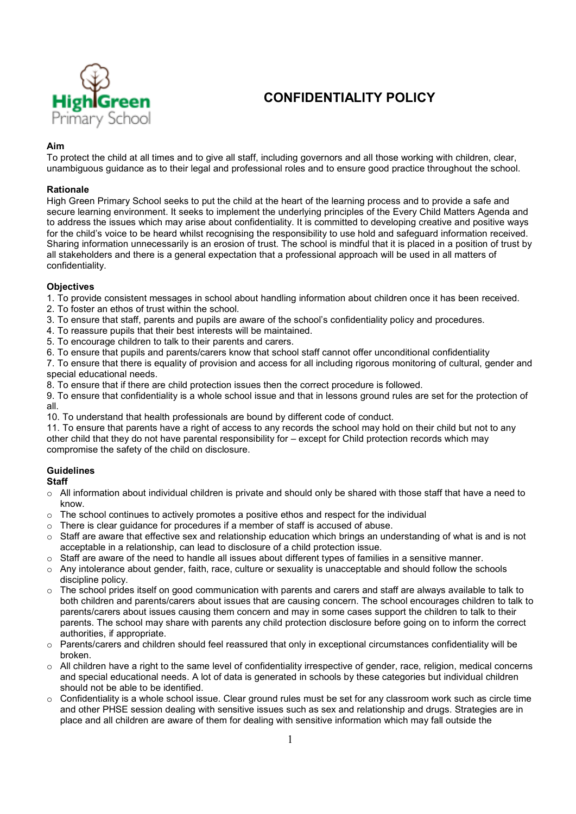

# **CONFIDENTIALITY POLICY**

### **Aim**

To protect the child at all times and to give all staff, including governors and all those working with children, clear, unambiguous guidance as to their legal and professional roles and to ensure good practice throughout the school.

### **Rationale**

High Green Primary School seeks to put the child at the heart of the learning process and to provide a safe and secure learning environment. It seeks to implement the underlying principles of the Every Child Matters Agenda and to address the issues which may arise about confidentiality. It is committed to developing creative and positive ways for the child's voice to be heard whilst recognising the responsibility to use hold and safeguard information received. Sharing information unnecessarily is an erosion of trust. The school is mindful that it is placed in a position of trust by all stakeholders and there is a general expectation that a professional approach will be used in all matters of confidentiality.

### **Objectives**

1. To provide consistent messages in school about handling information about children once it has been received.

- 2. To foster an ethos of trust within the school.
- 3. To ensure that staff, parents and pupils are aware of the school's confidentiality policy and procedures.
- 4. To reassure pupils that their best interests will be maintained.
- 5. To encourage children to talk to their parents and carers.
- 6. To ensure that pupils and parents/carers know that school staff cannot offer unconditional confidentiality

7. To ensure that there is equality of provision and access for all including rigorous monitoring of cultural, gender and special educational needs.

8. To ensure that if there are child protection issues then the correct procedure is followed.

9. To ensure that confidentiality is a whole school issue and that in lessons ground rules are set for the protection of all.

10. To understand that health professionals are bound by different code of conduct.

11. To ensure that parents have a right of access to any records the school may hold on their child but not to any other child that they do not have parental responsibility for – except for Child protection records which may compromise the safety of the child on disclosure.

### **Guidelines**

## **Staff**

- $\circ$  All information about individual children is private and should only be shared with those staff that have a need to know.
- $\circ$  The school continues to actively promotes a positive ethos and respect for the individual
- $\circ$  There is clear quidance for procedures if a member of staff is accused of abuse.
- $\circ$  Staff are aware that effective sex and relationship education which brings an understanding of what is and is not acceptable in a relationship, can lead to disclosure of a child protection issue.
- $\circ$  Staff are aware of the need to handle all issues about different types of families in a sensitive manner.
- $\circ$  Any intolerance about gender, faith, race, culture or sexuality is unacceptable and should follow the schools discipline policy.
- $\circ$  The school prides itself on good communication with parents and carers and staff are always available to talk to both children and parents/carers about issues that are causing concern. The school encourages children to talk to parents/carers about issues causing them concern and may in some cases support the children to talk to their parents. The school may share with parents any child protection disclosure before going on to inform the correct authorities, if appropriate.
- $\circ$  Parents/carers and children should feel reassured that only in exceptional circumstances confidentiality will be broken.
- $\circ$  All children have a right to the same level of confidentiality irrespective of gender, race, religion, medical concerns and special educational needs. A lot of data is generated in schools by these categories but individual children should not be able to be identified.
- $\circ$  Confidentiality is a whole school issue. Clear ground rules must be set for any classroom work such as circle time and other PHSE session dealing with sensitive issues such as sex and relationship and drugs. Strategies are in place and all children are aware of them for dealing with sensitive information which may fall outside the